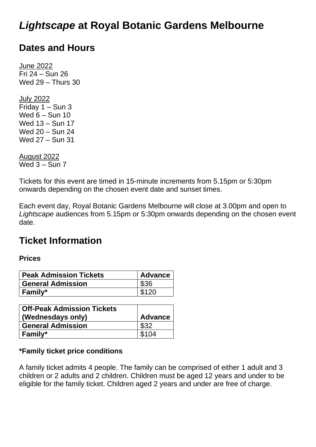# *Lightscape* **at Royal Botanic Gardens Melbourne**

## **Dates and Hours**

June 2022 Fri 24 – Sun 26 Wed 29 – Thurs 30

July 2022 Friday 1 – Sun 3 Wed 6 – Sun 10 Wed 13 – Sun 17 Wed 20 – Sun 24 Wed 27 – Sun 31

August 2022 Wed  $3 -$  Sun  $7$ 

Tickets for this event are timed in 15-minute increments from 5.15pm or 5:30pm onwards depending on the chosen event date and sunset times.

Each event day, Royal Botanic Gardens Melbourne will close at 3.00pm and open to *Lightscape* audiences from 5.15pm or 5:30pm onwards depending on the chosen event date.

## **Ticket Information**

## **Prices**

| <b>Peak Admission Tickets</b> | Advance |
|-------------------------------|---------|
| <b>General Admission</b>      | \$36    |
| <b>Family*</b>                | \$120   |

| <b>Off-Peak Admission Tickets</b><br>(Wednesdays only) | <b>Advance</b> |
|--------------------------------------------------------|----------------|
| <b>General Admission</b>                               | \$32           |
| <b>Family*</b>                                         | \$104          |

## **\*Family ticket price conditions**

A family ticket admits 4 people. The family can be comprised of either 1 adult and 3 children or 2 adults and 2 children. Children must be aged 12 years and under to be eligible for the family ticket. Children aged 2 years and under are free of charge.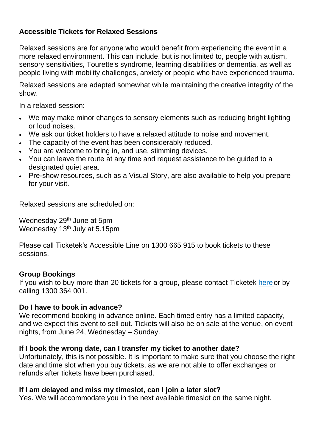## **Accessible Tickets for Relaxed Sessions**

Relaxed sessions are for anyone who would benefit from experiencing the event in a more relaxed environment. This can include, but is not limited to, people with autism, sensory sensitivities, Tourette's syndrome, learning disabilities or dementia, as well as people living with mobility challenges, anxiety or people who have experienced trauma.

Relaxed sessions are adapted somewhat while maintaining the creative integrity of the show.

In a relaxed session:

- We may make minor changes to sensory elements such as reducing bright lighting or loud noises.
- We ask our ticket holders to have a relaxed attitude to noise and movement.
- The capacity of the event has been considerably reduced.
- You are welcome to bring in, and use, stimming devices.
- You can leave the route at any time and request assistance to be guided to a designated quiet area.
- Pre-show resources, such as a Visual Story, are also available to help you prepare for your visit.

Relaxed sessions are scheduled on:

Wednesday 29<sup>th</sup> June at 5pm Wednesday 13<sup>th</sup> July at 5.15pm

Please call Ticketek's Accessible Line on 1300 665 915 to book tickets to these sessions.

#### **Group Bookings**

If you wish to buy more than 20 tickets for a group, please contact Ticketek here or by calling 1300 364 001.

#### **Do I have to book in advance?**

We recommend booking in advance online. Each timed entry has a limited capacity, and we expect this event to sell out. Tickets will also be on sale at the venue, on event nights, from June 24, Wednesday – Sunday.

#### **If I book the wrong date, can I transfer my ticket to another date?**

Unfortunately, this is not possible. It is important to make sure that you choose the right date and time slot when you buy tickets, as we are not able to offer exchanges or refunds after tickets have been purchased.

## **If I am delayed and miss my timeslot, can I join a later slot?**

Yes. We will accommodate you in the next available timeslot on the same night.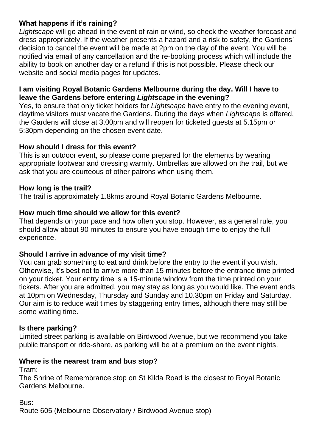## **What happens if it's raining?**

*Lightscape* will go ahead in the event of rain or wind, so check the weather forecast and dress appropriately. If the weather presents a hazard and a risk to safety, the Gardens' decision to cancel the event will be made at 2pm on the day of the event. You will be notified via email of any cancellation and the re-booking process which will include the ability to book on another day or a refund if this is not possible. Please check our website and social media pages for updates.

#### **I am visiting Royal Botanic Gardens Melbourne during the day. Will I have to leave the Gardens before entering** *Lightscape* **in the evening?**

Yes, to ensure that only ticket holders for *Lightscape* have entry to the evening event, daytime visitors must vacate the Gardens. During the days when *Lightscape* is offered, the Gardens will close at 3.00pm and will reopen for ticketed guests at 5.15pm or 5:30pm depending on the chosen event date.

## **How should I dress for this event?**

This is an outdoor event, so please come prepared for the elements by wearing appropriate footwear and dressing warmly. Umbrellas are allowed on the trail, but we ask that you are courteous of other patrons when using them.

## **How long is the trail?**

The trail is approximately 1.8kms around Royal Botanic Gardens Melbourne.

## **How much time should we allow for this event?**

That depends on your pace and how often you stop. However, as a general rule, you should allow about 90 minutes to ensure you have enough time to enjoy the full experience.

## **Should I arrive in advance of my visit time?**

You can grab something to eat and drink before the entry to the event if you wish. Otherwise, it's best not to arrive more than 15 minutes before the entrance time printed on your ticket. Your entry time is a 15-minute window from the time printed on your tickets. After you are admitted, you may stay as long as you would like. The event ends at 10pm on Wednesday, Thursday and Sunday and 10.30pm on Friday and Saturday. Our aim is to reduce wait times by staggering entry times, although there may still be some waiting time.

## **Is there parking?**

Limited street parking is available on Birdwood Avenue, but we recommend you take public transport or ride-share, as parking will be at a premium on the event nights.

## **Where is the nearest tram and bus stop?**

Tram:

The Shrine of Remembrance stop on St Kilda Road is the closest to Royal Botanic Gardens Melbourne.

Bus:

Route 605 (Melbourne Observatory / Birdwood Avenue stop)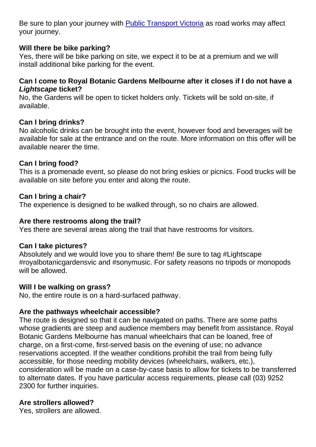Be sure to plan your journey with [Public Transport Victoria](https://www.ptv.vic.gov.au/) as road works may affect your journey.

## **Will there be bike parking?**

Yes, there will be bike parking on site, we expect it to be at a premium and we will install additional bike parking for the event.

#### **Can I come to Royal Botanic Gardens Melbourne after it closes if I do not have a**  *Lightscape* **ticket?**

No, the Gardens will be open to ticket holders only. Tickets will be sold on-site, if available.

## **Can I bring drinks?**

No alcoholic drinks can be brought into the event, however food and beverages will be available for sale at the entrance and on the route. More information on this offer will be available nearer the time.

## **Can I bring food?**

This is a promenade event, so please do not bring eskies or picnics. Food trucks will be available on site before you enter and along the route.

#### **Can I bring a chair?**

The experience is designed to be walked through, so no chairs are allowed.

## **Are there restrooms along the trail?**

Yes there are several areas along the trail that have restrooms for visitors.

#### **Can I take pictures?**

Absolutely and we would love you to share them! Be sure to tag #Lightscape #royalbotanicgardensvic and #sonymusic. For safety reasons no tripods or monopods will be allowed.

#### **Will I be walking on grass?**

No, the entire route is on a hard-surfaced pathway.

#### **Are the pathways wheelchair accessible?**

The route is designed so that it can be navigated on paths. There are some paths whose gradients are steep and audience members may benefit from assistance. Royal Botanic Gardens Melbourne has manual wheelchairs that can be loaned, free of charge, on a first-come, first-served basis on the evening of use; no advance reservations accepted. If the weather conditions prohibit the trail from being fully accessible, for those needing mobility devices (wheelchairs, walkers, etc.), consideration will be made on a case-by-case basis to allow for tickets to be transferred to alternate dates. If you have particular access requirements, please call (03) 9252 2300 for further inquiries.

#### **Are strollers allowed?**

Yes, strollers are allowed.